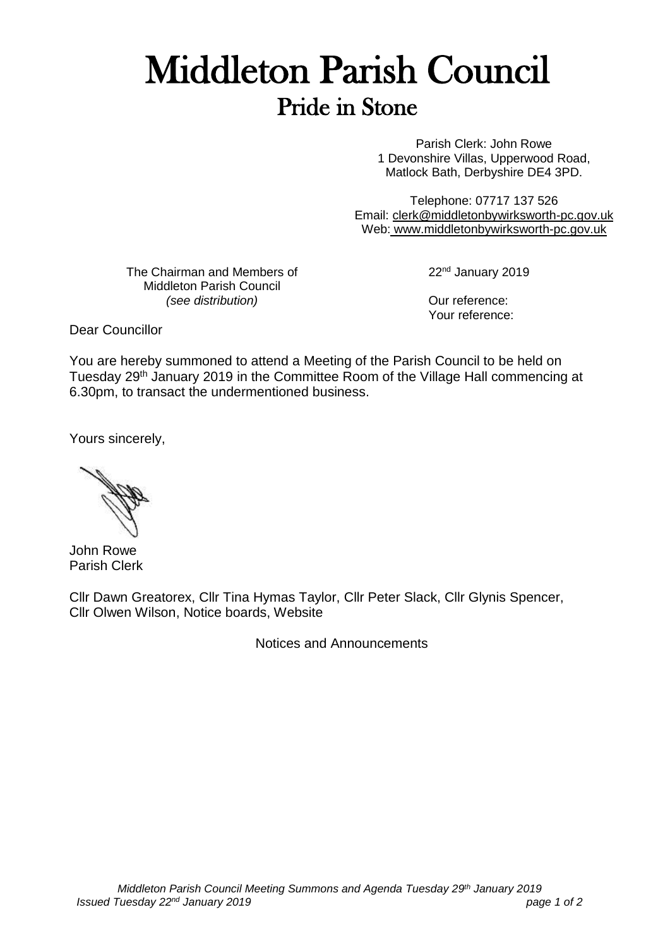## Middleton Parish Council Pride in Stone

Parish Clerk: John Rowe 1 Devonshire Villas, Upperwood Road, Matlock Bath, Derbyshire DE4 3PD.

Telephone: 07717 137 526 Email: [clerk@middletonbywirksworth-pc.gov.uk](mailto:clerk@middletonbywirksworth-pc.gov.uk) Web: [www.middletonbywirksworth-pc.gov.uk](http://www.middletonbywirksworth-pc.gov.uk/)

The Chairman and Members of Middleton Parish Council *(see distribution)*

22<sup>nd</sup> January 2019

Our reference: Your reference:

Dear Councillor

You are hereby summoned to attend a Meeting of the Parish Council to be held on Tuesday 29th January 2019 in the Committee Room of the Village Hall commencing at 6.30pm, to transact the undermentioned business.

Yours sincerely,

John Rowe Parish Clerk

Cllr Dawn Greatorex, Cllr Tina Hymas Taylor, Cllr Peter Slack, Cllr Glynis Spencer, Cllr Olwen Wilson, Notice boards, Website

Notices and Announcements